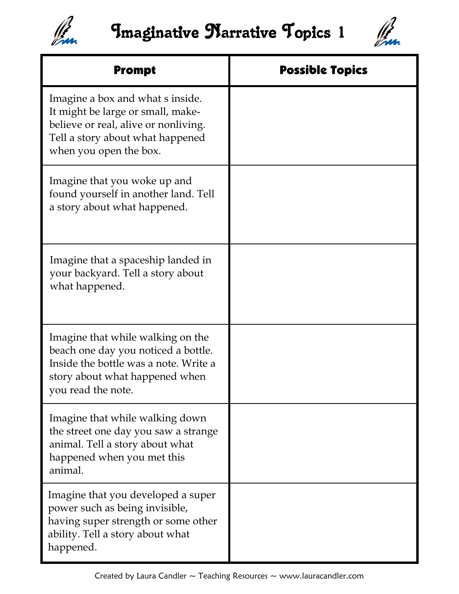



| <b>Prompt</b>                                                                                                                                                               | <b>Possible Topics</b> |
|-----------------------------------------------------------------------------------------------------------------------------------------------------------------------------|------------------------|
| Imagine a box and what s inside.<br>It might be large or small, make-<br>believe or real, alive or nonliving.<br>Tell a story about what happened<br>when you open the box. |                        |
| Imagine that you woke up and<br>found yourself in another land. Tell<br>a story about what happened.                                                                        |                        |
| Imagine that a spaceship landed in<br>your backyard. Tell a story about<br>what happened.                                                                                   |                        |
| Imagine that while walking on the<br>beach one day you noticed a bottle.<br>Inside the bottle was a note. Write a<br>story about what happened when<br>you read the note.   |                        |
| Imagine that while walking down<br>the street one day you saw a strange<br>animal. Tell a story about what<br>happened when you met this<br>animal.                         |                        |
| Imagine that you developed a super<br>power such as being invisible,<br>having super strength or some other<br>ability. Tell a story about what<br>happened.                |                        |